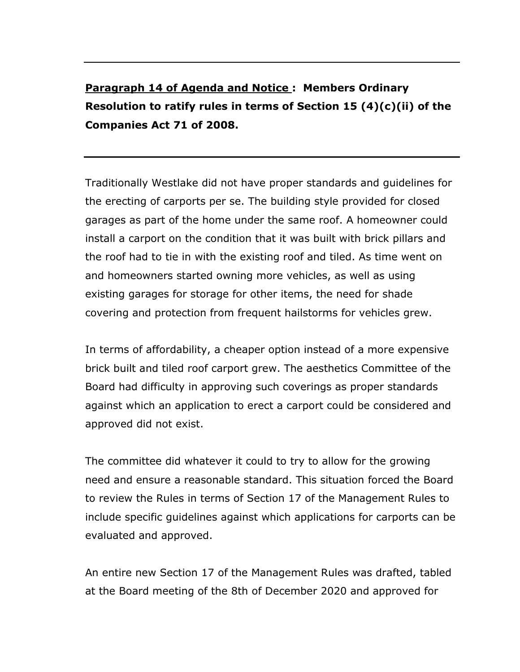**Paragraph 14 of Agenda and Notice : Members Ordinary Resolution to ratify rules in terms of Section 15 (4)(c)(ii) of the Companies Act 71 of 2008.**

Traditionally Westlake did not have proper standards and guidelines for the erecting of carports per se. The building style provided for closed garages as part of the home under the same roof. A homeowner could install a carport on the condition that it was built with brick pillars and the roof had to tie in with the existing roof and tiled. As time went on and homeowners started owning more vehicles, as well as using existing garages for storage for other items, the need for shade covering and protection from frequent hailstorms for vehicles grew.

In terms of affordability, a cheaper option instead of a more expensive brick built and tiled roof carport grew. The aesthetics Committee of the Board had difficulty in approving such coverings as proper standards against which an application to erect a carport could be considered and approved did not exist.

The committee did whatever it could to try to allow for the growing need and ensure a reasonable standard. This situation forced the Board to review the Rules in terms of Section 17 of the Management Rules to include specific guidelines against which applications for carports can be evaluated and approved.

An entire new Section 17 of the Management Rules was drafted, tabled at the Board meeting of the 8th of December 2020 and approved for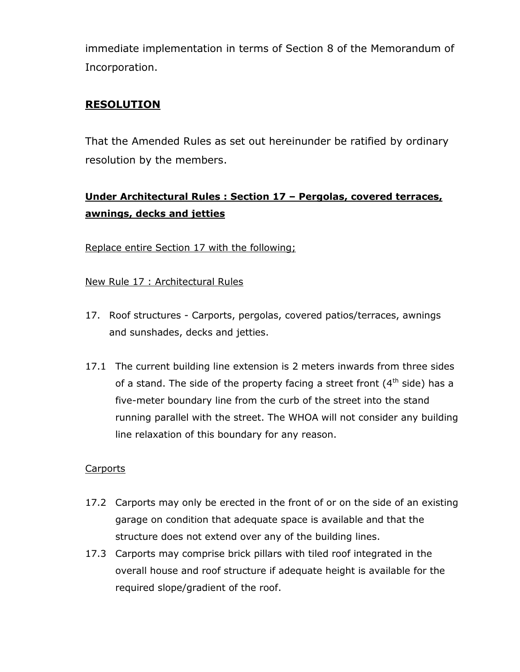immediate implementation in terms of Section 8 of the Memorandum of Incorporation.

## **RESOLUTION**

That the Amended Rules as set out hereinunder be ratified by ordinary resolution by the members.

# **Under Architectural Rules : Section 17 – Pergolas, covered terraces, awnings, decks and jetties**

Replace entire Section 17 with the following;

New Rule 17 : Architectural Rules

- 17. Roof structures Carports, pergolas, covered patios/terraces, awnings and sunshades, decks and jetties.
- 17.1 The current building line extension is 2 meters inwards from three sides of a stand. The side of the property facing a street front  $(4<sup>th</sup>$  side) has a five-meter boundary line from the curb of the street into the stand running parallel with the street. The WHOA will not consider any building line relaxation of this boundary for any reason.

### **Carports**

- 17.2 Carports may only be erected in the front of or on the side of an existing garage on condition that adequate space is available and that the structure does not extend over any of the building lines.
- 17.3 Carports may comprise brick pillars with tiled roof integrated in the overall house and roof structure if adequate height is available for the required slope/gradient of the roof.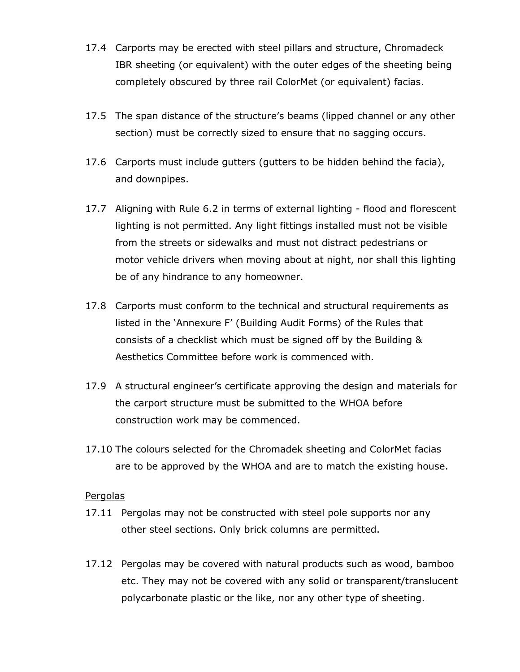- 17.4 Carports may be erected with steel pillars and structure, Chromadeck IBR sheeting (or equivalent) with the outer edges of the sheeting being completely obscured by three rail ColorMet (or equivalent) facias.
- 17.5 The span distance of the structure's beams (lipped channel or any other section) must be correctly sized to ensure that no sagging occurs.
- 17.6 Carports must include gutters (gutters to be hidden behind the facia), and downpipes.
- 17.7 Aligning with Rule 6.2 in terms of external lighting flood and florescent lighting is not permitted. Any light fittings installed must not be visible from the streets or sidewalks and must not distract pedestrians or motor vehicle drivers when moving about at night, nor shall this lighting be of any hindrance to any homeowner.
- 17.8 Carports must conform to the technical and structural requirements as listed in the 'Annexure F' (Building Audit Forms) of the Rules that consists of a checklist which must be signed off by the Building & Aesthetics Committee before work is commenced with.
- 17.9 A structural engineer's certificate approving the design and materials for the carport structure must be submitted to the WHOA before construction work may be commenced.
- 17.10 The colours selected for the Chromadek sheeting and ColorMet facias are to be approved by the WHOA and are to match the existing house.

#### Pergolas

- 17.11 Pergolas may not be constructed with steel pole supports nor any other steel sections. Only brick columns are permitted.
- 17.12 Pergolas may be covered with natural products such as wood, bamboo etc. They may not be covered with any solid or transparent/translucent polycarbonate plastic or the like, nor any other type of sheeting.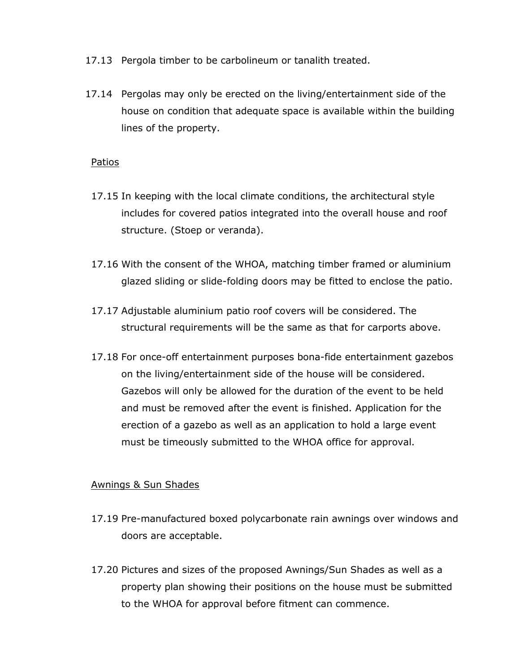- 17.13 Pergola timber to be carbolineum or tanalith treated.
- 17.14 Pergolas may only be erected on the living/entertainment side of the house on condition that adequate space is available within the building lines of the property.

#### Patios

- 17.15 In keeping with the local climate conditions, the architectural style includes for covered patios integrated into the overall house and roof structure. (Stoep or veranda).
- 17.16 With the consent of the WHOA, matching timber framed or aluminium glazed sliding or slide-folding doors may be fitted to enclose the patio.
- 17.17 Adjustable aluminium patio roof covers will be considered. The structural requirements will be the same as that for carports above.
- 17.18 For once-off entertainment purposes bona-fide entertainment gazebos on the living/entertainment side of the house will be considered. Gazebos will only be allowed for the duration of the event to be held and must be removed after the event is finished. Application for the erection of a gazebo as well as an application to hold a large event must be timeously submitted to the WHOA office for approval.

#### Awnings & Sun Shades

- 17.19 Pre-manufactured boxed polycarbonate rain awnings over windows and doors are acceptable.
- 17.20 Pictures and sizes of the proposed Awnings/Sun Shades as well as a property plan showing their positions on the house must be submitted to the WHOA for approval before fitment can commence.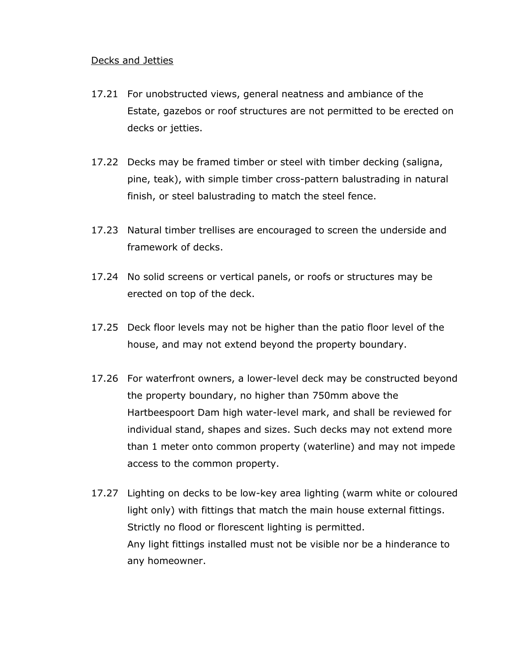#### Decks and Jetties

- 17.21 For unobstructed views, general neatness and ambiance of the Estate, gazebos or roof structures are not permitted to be erected on decks or jetties.
- 17.22 Decks may be framed timber or steel with timber decking (saligna, pine, teak), with simple timber cross-pattern balustrading in natural finish, or steel balustrading to match the steel fence.
- 17.23 Natural timber trellises are encouraged to screen the underside and framework of decks.
- 17.24 No solid screens or vertical panels, or roofs or structures may be erected on top of the deck.
- 17.25 Deck floor levels may not be higher than the patio floor level of the house, and may not extend beyond the property boundary.
- 17.26 For waterfront owners, a lower-level deck may be constructed beyond the property boundary, no higher than 750mm above the Hartbeespoort Dam high water-level mark, and shall be reviewed for individual stand, shapes and sizes. Such decks may not extend more than 1 meter onto common property (waterline) and may not impede access to the common property.
- 17.27 Lighting on decks to be low-key area lighting (warm white or coloured light only) with fittings that match the main house external fittings. Strictly no flood or florescent lighting is permitted. Any light fittings installed must not be visible nor be a hinderance to any homeowner.